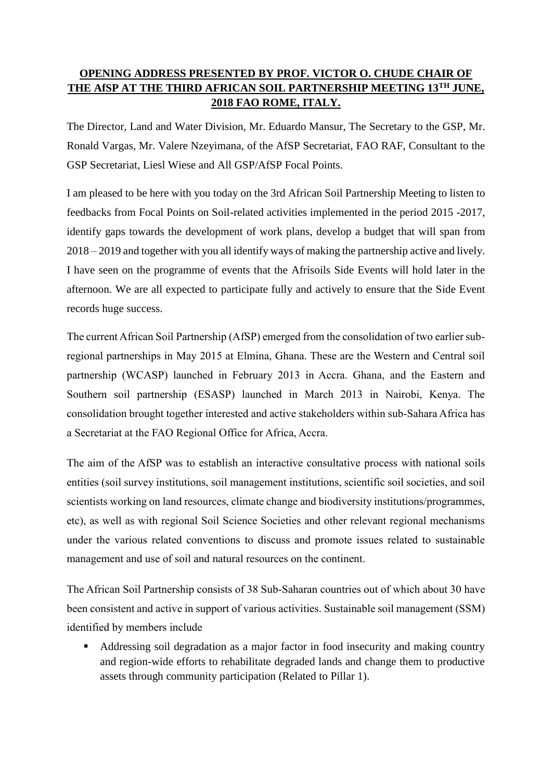# **OPENING ADDRESS PRESENTED BY PROF. VICTOR O. CHUDE CHAIR OF THE AfSP AT THE THIRD AFRICAN SOIL PARTNERSHIP MEETING 13TH JUNE, 2018 FAO ROME, ITALY.**

The Director, Land and Water Division, Mr. Eduardo Mansur, The Secretary to the GSP, Mr. Ronald Vargas, Mr. Valere Nzeyimana, of the AfSP Secretariat, FAO RAF, Consultant to the GSP Secretariat, Liesl Wiese and All GSP/AfSP Focal Points.

I am pleased to be here with you today on the 3rd African Soil Partnership Meeting to listen to feedbacks from Focal Points on Soil-related activities implemented in the period 2015 -2017, identify gaps towards the development of work plans, develop a budget that will span from 2018 – 2019 and together with you all identify ways of making the partnership active and lively. I have seen on the programme of events that the Afrisoils Side Events will hold later in the afternoon. We are all expected to participate fully and actively to ensure that the Side Event records huge success.

The current African Soil Partnership (AfSP) emerged from the consolidation of two earlier subregional partnerships in May 2015 at Elmina, Ghana. These are the Western and Central soil partnership (WCASP) launched in February 2013 in Accra. Ghana, and the Eastern and Southern soil partnership (ESASP) launched in March 2013 in Nairobi, Kenya. The consolidation brought together interested and active stakeholders within sub-Sahara Africa has a Secretariat at the FAO Regional Office for Africa, Accra.

The aim of the AfSP was to establish an interactive consultative process with national soils entities (soil survey institutions, soil management institutions, scientific soil societies, and soil scientists working on land resources, climate change and biodiversity institutions/programmes, etc), as well as with regional Soil Science Societies and other relevant regional mechanisms under the various related conventions to discuss and promote issues related to sustainable management and use of soil and natural resources on the continent.

The African Soil Partnership consists of 38 Sub-Saharan countries out of which about 30 have been consistent and active in support of various activities. Sustainable soil management (SSM) identified by members include

 Addressing soil degradation as a major factor in food insecurity and making country and region-wide efforts to rehabilitate degraded lands and change them to productive assets through community participation (Related to Pillar 1).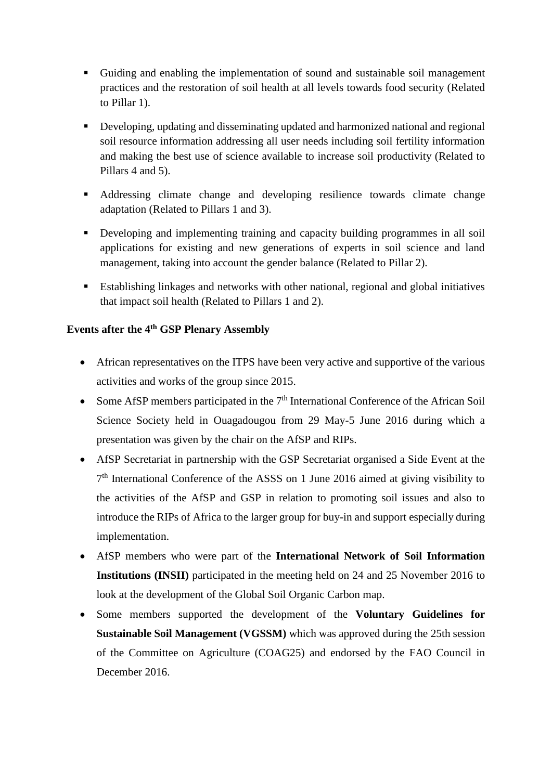- Guiding and enabling the implementation of sound and sustainable soil management practices and the restoration of soil health at all levels towards food security (Related to Pillar 1).
- Developing, updating and disseminating updated and harmonized national and regional soil resource information addressing all user needs including soil fertility information and making the best use of science available to increase soil productivity (Related to Pillars 4 and 5).
- Addressing climate change and developing resilience towards climate change adaptation (Related to Pillars 1 and 3).
- Developing and implementing training and capacity building programmes in all soil applications for existing and new generations of experts in soil science and land management, taking into account the gender balance (Related to Pillar 2).
- Establishing linkages and networks with other national, regional and global initiatives that impact soil health (Related to Pillars 1 and 2).

### **Events after the 4th GSP Plenary Assembly**

- African representatives on the ITPS have been very active and supportive of the various activities and works of the group since 2015.
- Some AfSP members participated in the  $7<sup>th</sup>$  International Conference of the African Soil Science Society held in Ouagadougou from 29 May-5 June 2016 during which a presentation was given by the chair on the AfSP and RIPs.
- AfSP Secretariat in partnership with the GSP Secretariat organised a Side Event at the 7<sup>th</sup> International Conference of the ASSS on 1 June 2016 aimed at giving visibility to the activities of the AfSP and GSP in relation to promoting soil issues and also to introduce the RIPs of Africa to the larger group for buy-in and support especially during implementation.
- AfSP members who were part of the **International Network of Soil Information Institutions (INSII)** participated in the meeting held on 24 and 25 November 2016 to look at the development of the Global Soil Organic Carbon map.
- Some members supported the development of the **Voluntary Guidelines for Sustainable Soil Management (VGSSM)** which was approved during the 25th session of the Committee on Agriculture (COAG25) and endorsed by the FAO Council in December 2016.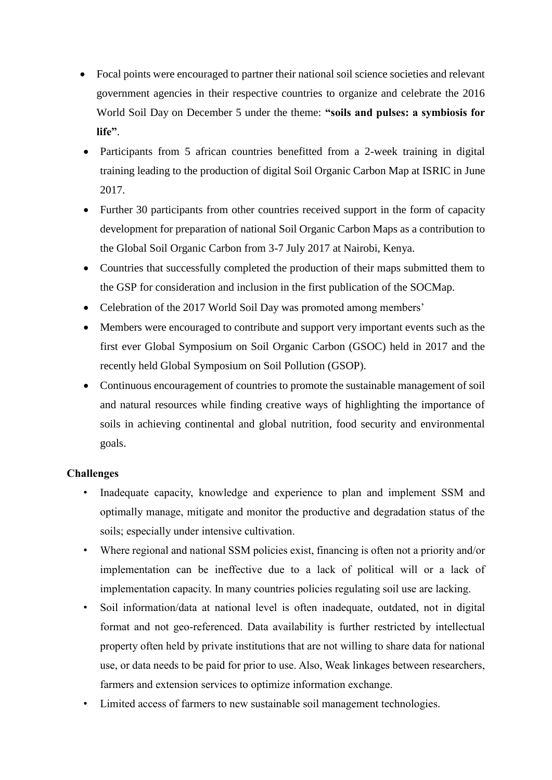- Focal points were encouraged to partner their national soil science societies and relevant government agencies in their respective countries to organize and celebrate the 2016 World Soil Day on December 5 under the theme: **"soils and pulses: a symbiosis for life"**.
- Participants from 5 african countries benefitted from a 2-week training in digital training leading to the production of digital Soil Organic Carbon Map at ISRIC in June 2017.
- Further 30 participants from other countries received support in the form of capacity development for preparation of national Soil Organic Carbon Maps as a contribution to the Global Soil Organic Carbon from 3-7 July 2017 at Nairobi, Kenya.
- Countries that successfully completed the production of their maps submitted them to the GSP for consideration and inclusion in the first publication of the SOCMap.
- Celebration of the 2017 World Soil Day was promoted among members'
- Members were encouraged to contribute and support very important events such as the first ever Global Symposium on Soil Organic Carbon (GSOC) held in 2017 and the recently held Global Symposium on Soil Pollution (GSOP).
- Continuous encouragement of countries to promote the sustainable management of soil and natural resources while finding creative ways of highlighting the importance of soils in achieving continental and global nutrition, food security and environmental goals.

## **Challenges**

- Inadequate capacity, knowledge and experience to plan and implement SSM and optimally manage, mitigate and monitor the productive and degradation status of the soils; especially under intensive cultivation.
- Where regional and national SSM policies exist, financing is often not a priority and/or implementation can be ineffective due to a lack of political will or a lack of implementation capacity. In many countries policies regulating soil use are lacking.
- Soil information/data at national level is often inadequate, outdated, not in digital format and not geo-referenced. Data availability is further restricted by intellectual property often held by private institutions that are not willing to share data for national use, or data needs to be paid for prior to use. Also, Weak linkages between researchers, farmers and extension services to optimize information exchange.
- Limited access of farmers to new sustainable soil management technologies.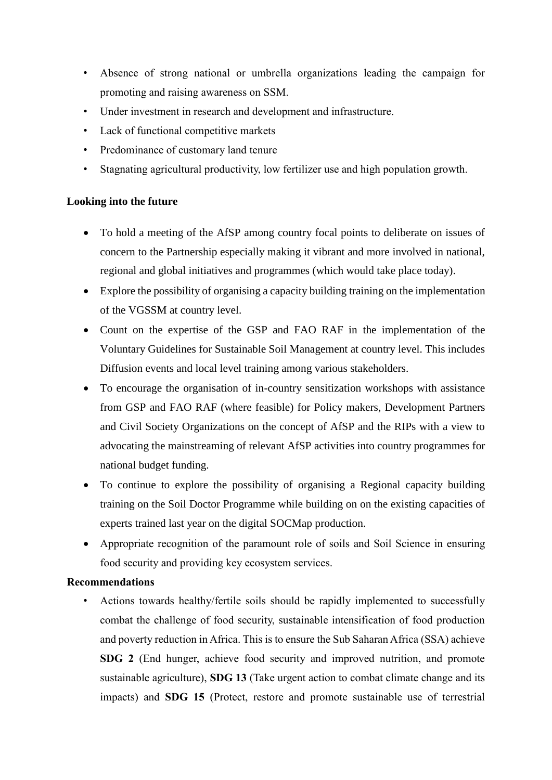- Absence of strong national or umbrella organizations leading the campaign for promoting and raising awareness on SSM.
- Under investment in research and development and infrastructure.
- Lack of functional competitive markets
- Predominance of customary land tenure
- Stagnating agricultural productivity, low fertilizer use and high population growth.

#### **Looking into the future**

- To hold a meeting of the AfSP among country focal points to deliberate on issues of concern to the Partnership especially making it vibrant and more involved in national, regional and global initiatives and programmes (which would take place today).
- Explore the possibility of organising a capacity building training on the implementation of the VGSSM at country level.
- Count on the expertise of the GSP and FAO RAF in the implementation of the Voluntary Guidelines for Sustainable Soil Management at country level. This includes Diffusion events and local level training among various stakeholders.
- To encourage the organisation of in-country sensitization workshops with assistance from GSP and FAO RAF (where feasible) for Policy makers, Development Partners and Civil Society Organizations on the concept of AfSP and the RIPs with a view to advocating the mainstreaming of relevant AfSP activities into country programmes for national budget funding.
- To continue to explore the possibility of organising a Regional capacity building training on the Soil Doctor Programme while building on on the existing capacities of experts trained last year on the digital SOCMap production.
- Appropriate recognition of the paramount role of soils and Soil Science in ensuring food security and providing key ecosystem services.

#### **Recommendations**

• Actions towards healthy/fertile soils should be rapidly implemented to successfully combat the challenge of food security, sustainable intensification of food production and poverty reduction in Africa. This is to ensure the Sub Saharan Africa (SSA) achieve **SDG 2** (End hunger, achieve food security and improved nutrition, and promote sustainable agriculture), **SDG 13** (Take urgent action to combat climate change and its impacts) and **SDG 15** (Protect, restore and promote sustainable use of terrestrial